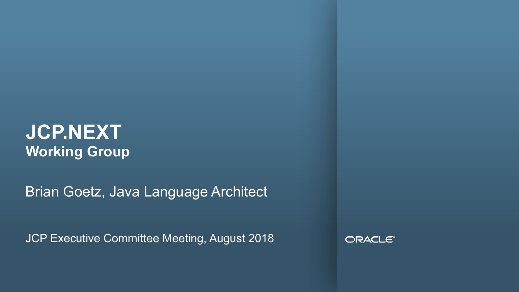#### **JCP.NEXT Working Group**

Brian Goetz, Java Language Architect

JCP Executive Committee Meeting, August 2018

ORACLE<sup>®</sup>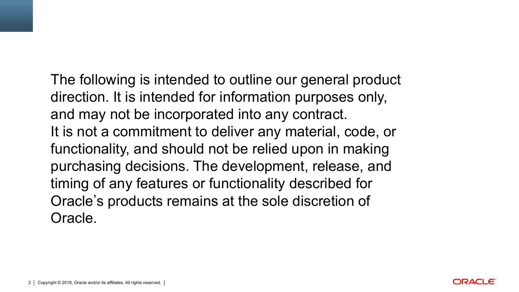The following is intended to outline our general product direction. It is intended for information purposes only, and may not be incorporated into any contract. It is not a commitment to deliver any material, code, or functionality, and should not be relied upon in making purchasing decisions. The development, release, and timing of any features or functionality described for Oracle's products remains at the sole discretion of Oracle.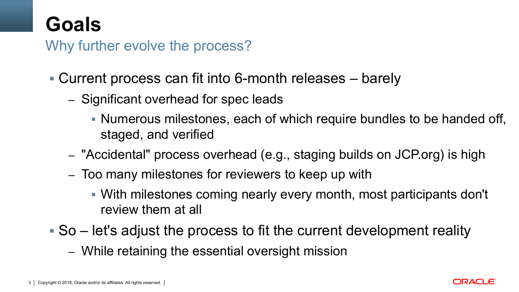### **Goals**

Why further evolve the process?

- § Current process can fit into 6-month releases barely
	- Significant overhead for spec leads
		- § Numerous milestones, each of which require bundles to be handed off, staged, and verified
	- "Accidental" process overhead (e.g., staging builds on JCP.org) is high
	- Too many milestones for reviewers to keep up with
		- § With milestones coming nearly every month, most participants don't review them at all
- § So let's adjust the process to fit the current development reality
	- While retaining the essential oversight mission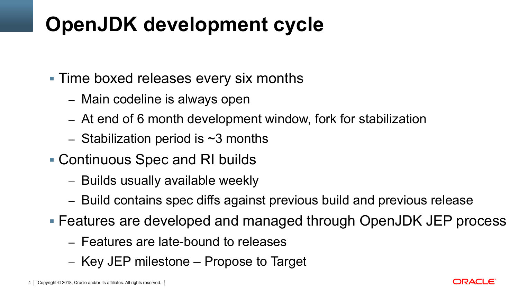# **OpenJDK development cycle**

- Time boxed releases every six months
	- Main codeline is always open
	- At end of 6 month development window, fork for stabilization
	- $-$  Stabilization period is  $\sim$ 3 months
- § Continuous Spec and RI builds
	- Builds usually available weekly
	- Build contains spec diffs against previous build and previous release
- Features are developed and managed through OpenJDK JEP process
	- Features are late-bound to releases
	- Key JEP milestone Propose to Target